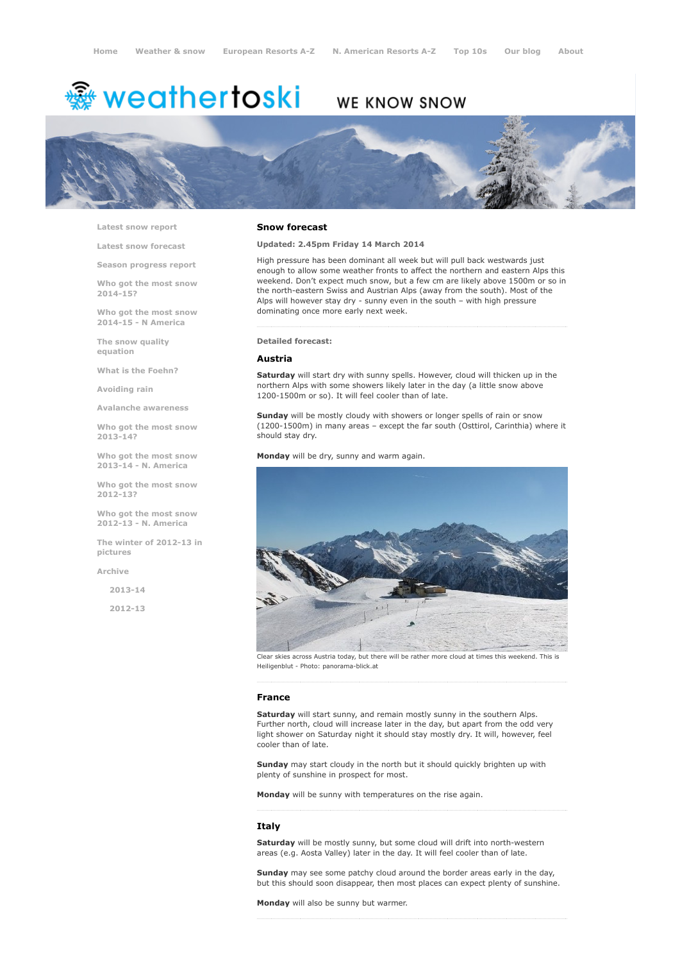# <sup>霧</sup> weathertoski

## WE KNOW SNOW



Latest snow [report](http://www.weathertoski.co.uk/weather-snow/latest-snow-report/)

Latest snow [forecast](http://www.weathertoski.co.uk/weather-snow/latest-snow-forecast/)

Season [progress](http://www.weathertoski.co.uk/weather-snow/season-progress-report/) report

Who got the most snow 2014-15?

Who got the most snow 2014-15 - N America

The snow quality [equation](http://www.weathertoski.co.uk/weather-snow/the-snow-quality-equation/)

What is the [Foehn?](http://www.weathertoski.co.uk/weather-snow/what-is-the-foehn/)

[Avoiding](http://www.weathertoski.co.uk/weather-snow/avoiding-rain/) rain

Avalanche [awareness](http://www.weathertoski.co.uk/weather-snow/avalanche-awareness/)

Who got the most snow 2013-14?

Who got the most snow 2013-14 - N. America

Who got the most snow 2012-13?

Who got the most snow 2012-13 - N. America

The winter of 2012-13 in pictures

[Archive](http://www.weathertoski.co.uk/weather-snow/archive/)

2013-14

2012-13

#### Snow forecast

Updated: 2.45pm Friday 14 March 2014

High pressure has been dominant all week but will pull back westwards just enough to allow some weather fronts to affect the northern and eastern Alps this weekend. Don't expect much snow, but a few cm are likely above 1500m or so in the north-eastern Swiss and Austrian Alps (away from the south). Most of the Alps will however stay dry - sunny even in the south – with high pressure dominating once more early next week.

Detailed forecast:

#### Austria

Saturday will start dry with sunny spells. However, cloud will thicken up in the northern Alps with some showers likely later in the day (a little snow above 1200-1500m or so). It will feel cooler than of late.

Sunday will be mostly cloudy with showers or longer spells of rain or snow (1200-1500m) in many areas - except the far south (Osttirol, Carinthia) where it should stay dry.

Monday will be dry, sunny and warm again.



Clear skies across Austria today, but there will be rather more cloud at times this weekend. This is Heiligenblut - Photo: panorama-blick.at

#### France

Saturday will start sunny, and remain mostly sunny in the southern Alps. Further north, cloud will increase later in the day, but apart from the odd very light shower on Saturday night it should stay mostly dry. It will, however, feel cooler than of late.

Sunday may start cloudy in the north but it should quickly brighten up with plenty of sunshine in prospect for most.

Monday will be sunny with temperatures on the rise again.

#### Italy

Saturday will be mostly sunny, but some cloud will drift into north-western areas (e.g. Aosta Valley) later in the day. It will feel cooler than of late.

Sunday may see some patchy cloud around the border areas early in the day, but this should soon disappear, then most places can expect plenty of sunshine.

Monday will also be sunny but warmer.